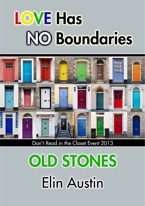# **LOVE Has NO Boundaries**



## Don't Read in the Closet Event 2013

# **OLD STONES Elin Austin**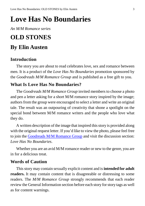# <span id="page-2-0"></span>**Love Has No Boundaries**

*An M/M Romance series*

## **OLD STONES By Elin Austen**

## **Introduction**

The story you are about to read celebrates love, sex and romance between men. It is a product of the *Love Has No Boundaries* promotion sponsored by the *Goodreads M/M Romance Group* and is published as a free gift to you.

## **What Is Love Has No Boundaries?**

The *Goodreads M/M Romance Group* invited members to choose a photo and pen a letter asking for a short M/M romance story inspired by the image; authors from the group were encouraged to select a letter and write an original tale. The result was an outpouring of creativity that shone a spotlight on the special bond between M/M romance writers and the people who love what they do.

A written description of the image that inspired thisstory is provided along with the original request letter. If you'd like to view the photo, please feel free to join the [Goodreads](http://www.goodreads.com/group/show/20149-m-m-romance) M/M Romance Group and visit the discussion section: *Love Has No Boundaries*.

Whether you are an avid M/M romance reader or new to the genre, you are in for a delicious treat.

## **Words of Caution**

Thisstory may contain sexually explicit content and is**intended for adult readers.** It may contain content that is disagreeable or distressing to some readers. The *M/M Romance Group* strongly recommends that each reader review the General Information section before each story for story tags as well as for content warnings.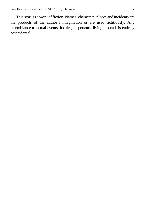This story is a work of fiction. Names, characters, places and incidents are the products of the author's imagination or are used fictitiously. Any resemblance to actual events, locales, or persons, living or dead, is entirely coincidental.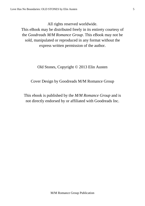All rights reserved worldwide.

This eBook may be distributed freely in its entirety courtesy of the *Goodreads M/M Romance Group*. This eBook may not be sold, manipulated or reproduced in any format without the express written permission of the author.

Old Stones, Copyright © 2013 Elin Austen

Cover Design by Goodreads M/M Romance Group

This ebook is published by the *M/M Romance Group* and is not directly endorsed by or affiliated with Goodreads Inc.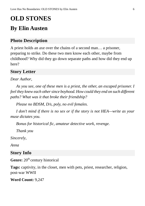## **OLD STONES**

## **By Elin Austen**

## **Photo Description**

A priest holds an axe over the chains of a second man… a prisoner, preparing to strike. Do these two men know each other, maybe from childhood? Why did they go down separate paths and how did they end up here?

## **Story Letter**

## *Dear Author,*

*As you see, one of these men is a priest, the other, an escaped prisoner. I feel they knew each othersince boyhood. How could they end on such different paths? What was it that broke their friendship?*

*Please no BDSM, D/s, poly, no evil females.*

*I don't mind if there is no sex or if the story is not HEA—write as your muse dictates you.*

*Bonus for historical fic, amateur detective work, revenge.*

*Thank you*

*Sincerely,*

*Anna*

## **Story Info**

**Genre:** 20<sup>th</sup> century historical

**Tags:** captivity, in the closet, men with pets, priest, researcher, religion, post-war WWII

**Word Count:** 9,247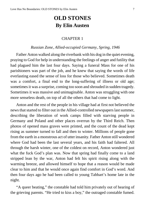## **OLD STONES By Elin Austen**

#### CHAPTER 1

#### *Russian Zone, Allied-occupied Germany, Spring, 1946*

<span id="page-6-0"></span>Father Anton walked along the riverbank with his dog in the quiet evening, praying to God for help in understanding the feelings of anger and futility that had plagued him the last four days. Saying a funeral Mass for one of his parishioners was part of the job, and he knew that saying the words of life everlasting eased the sense of loss for those who believed. Sometimes death was a comfort, a final end to the long-suffering of illness or old age; sometimes it was a surprise, coming too soon and shrouded in sudden tragedy. Sometimes it was massive and unimaginable. Anton was struggling with one more senseless death, on top of all the others that had come to light.

Anton and the rest of the people in his village had at first not believed the news that started to filter out in the Allied-controlled newspapers last summer, describing the liberation of work camps filled with starving people in Germany and Poland and other places overrun by the Third Reich. Then photos of opened mass graves were printed, and the count of the dead kept rising as summer turned to fall and then to winter. Millions of people gone from the earth in a monstrous act of utter insanity. Father Anton still wondered where God had been the last several years, and his faith had faltered. All through the harsh winter, one of the coldest on record, Anton wondered just what the fuck God's plan was. Now that spring had finally come to a land stripped lean by the war, Anton had felt his spirit rising along with the warming breeze, and allowed himself to hope that a reason would be made clear to him and that he would once again find comfort in God's word. And then four days ago he had been called to young Tabbart's home late in the night.

"A queer beating," the constable had told him privately out of hearing of the grieving parents. "He tried to kiss a boy," the outraged constable fumed.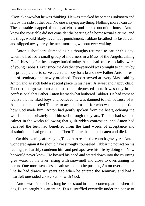"Don't know what he was thinking. He was attacked by persons unknown and left by the side of the road. No one's saying anything. Nothing more I can do." The constable snapped his notepad closed and stalked out of the house. Anton knew the constable did not consider the beating of a homosexual a crime, and the thugs would likely never face punishment. Tabbart breathed hislast breath and slipped away early the next morning without ever waking.

Anton's shoulders slumped as his thoughts returned to earlier this day, when he had led a small group of mourners in a Mass of the Angels, asking God's blessing for the teenager buried today. Anton had been especially aware of young Tabbart, eversince the day the ten-year-old was brought to church by his proud parents to serve as an altar boy for a brand new Father Anton, fresh out of seminary and newly ordained. Tabbart served at every Mass said by Anton and as such held a special place in his heart. A sweet and happy child, Tabbart had grown into a confused and depressed teen. It was only in the confessional that Father Anton learned what bothered Tabbart. He had come to realize that he liked boys and believed he was damned to hell because of it. Anton had counseled Tabbart to accept himself, for who was he to question how God made him? Anton had gently spoken from the heart, echoing the words he had privately told himself through the years. Tabbart had seemed calmer in the weeks following that guilt-ridden confession, and Anton had believed the teen had benefited from the kind words of acceptance and absolution he had granted him. Then Tabbart had been beaten and died.

On this evening after laying Tabbart to rest in the church graveyard, Anton wondered again if he should have strongly counseled Tabbart to not act on his feelings, to harshly condemn him and perhaps save his life by doing so. Now he would never know. He bowed his head and stared down into the churning grey water of the river, rising with snowmelt and close to overrunning its banks. One more senseless death seemed to be pushing Anton over a line, a line he had drawn six years ago when he entered the seminary and had a heartfelt one-sided conversation with God.

Anton wasn't sure how long he had stood in silent contemplation when his dog Duzzi caught his attention. Duzzi snuffled excitedly under the copse of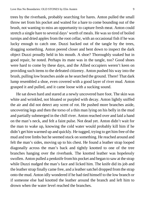trees by the riverbank, probably searching for hares. Anton pulled the small throw net from his pocket and waited for a hare to come bounding out of the brush, not wanting to miss an opportunity to capture fresh meat. Anton could stretch a single hare to several days' worth of meals. He was so tired of boiled turnips and dried apples from the root cellar, with an occasional fish if he was lucky enough to catch one. Duzzi backed out of the tangle by the trees, dragging something. Anton peered closer and bent down to inspect the dark object Duzzi proudly held in his mouth. A shoe? Thoroughly soaked but in good repair, he noted. Perhaps its mate was in the tangle, too? Good shoes were hard to come by these days, and the Allied occupiers weren't keen on providing such items to the defeated citizenry. Anton pushed his way into the brush, pulling low branches aside as he searched the ground. There! That dark lump resembled a shoe, even covered with a good layer of river mud. Anton grasped it and pulled, and it came loose with a sucking sound.

He sat down hard and stared at a newly uncovered bare foot. The skin was white and wrinkled, not bloated or purpled with decay. Anton lightly sniffed the air and did not detect any scent of rot. He pushed more branches aside, uncovering legs and then the torso of a thin man lying on his belly in the mud and partially submerged in the chill river. Anton reached over and laid a hand on the man's neck, and felt a faint pulse. Not dead yet. Anton didn't wait for the man to wake up, knowing the cold water would probably kill him if he didn't get him warmed up and quickly. He tugged, trying to get him free of the mud and tree limbs but he seemed stuck on something. He reached around and felt the man's sides, moving up to his chest. He found a leather strap looped diagonally across the man's back and tightly knotted to one of the tree branches hanging over the riverbank. The knotted leather was hopelessly swollen. Anton pulled a penknife fromhis pocket and began to saw at the strap while Duzzi nudged the man's face and licked him. The knife did its job and the leather strap finally came free, and a leather satchel dropped from the strap onto the mud. Anton idly wondered if he had tied himself to the low branch or if someone else had knotted the leather around the branch and left him to drown when the water level reached the branches.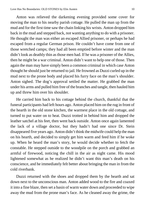Anton was relieved the darkening evening provided some cover for moving the man to his nearby parish cottage. He pulled the man up from the mud and for the first time saw the chain linking his wrists. Anton dropped him back in the mud and stepped back, not wanting anything to do with a prisoner. He thought the man was either an escaped Allied prisoner, or perhaps he had escaped from a regular German prison. He couldn't have come from one of those wretched camps; they had all been emptied before winter and the man didn't look as deathly thin as those men had. If he was a prisoner of the Allies, then he might be a war criminal. Anton didn't want to help one of those. Then again the man may have simply been a common criminal in which case Anton thought he should just be returned to jail. He frowned as Duzzi curled up in the mud next to the prone body and placed his furry face on the man's shoulder. Anton sighed. The dog's approval settled the matter. He grabbed the man under his arms and pulled him free of the branches and tangle, then hauled him up and threw him over his shoulder.

He carried him back to his cottage behind the church, thankful that the funeral participants had left hours ago. Anton placed him on the rug in front of the hearth in the old stone kitchen, the warmest place in the old cottage, and turned to put water on to heat. Duzzi trotted in behind him and dropped the leather satchel at his feet, then went back outside. Anton once again lamented the lack of a village doctor, but they hadn't had one since Dr. Stein disappeared five years ago. Anton didn't think the midwife could help the man on his hearth, and decided to simply get him warm and feed him if he woke up. When he heard the man's story, he would decide whether to fetch the constable. He stepped outside to the woodpile on the porch and grabbed an armful of firewood, noticing the chill in the air as night came. His mood lightened somewhat as he realized he didn't want this man's death on his conscience, and he immediately felt better about bringing the man in from the cold riverbank.

Duzzi returned with the shoes and dropped them by the hearth and sat down next to the unconscious man. Anton added wood to the fire and coaxed it into a fine blaze, then set a basin of warm water down and proceeded to wipe away the mud from the prone man's face. As he cleaned away the grime, the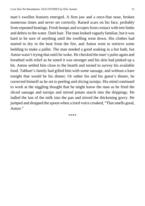man's swollen features emerged. A firm jaw and a once-fine nose, broken numerous times and never set correctly. Raised scars on his face, probably from repeated beatings. Fresh bumps and scrapesfrom contact with tree limbs and debris in the water. Dark hair. The man looked vaguely familiar, but it was hard to be sure of anything until the swelling went down. His clothes had started to dry in the heat from the fire, and Anton went to retrieve some bedding to make a pallet. The man needed a good soaking in a hot bath, but Anton wasn't trying that until he woke. He checked the man's pulse again and breathed with relief as he noted it was stronger and his skin had pinked up a bit. Anton settled him close to the hearth and turned to survey his available food. Tabbart's family had gifted him with some sausage, and without a hare tonight that would be his dinner. Or rather his and his guest's dinner, he corrected himself as he set to peeling and slicing turnips. His mind continued to work at the niggling thought that he might know the man as he fried the sliced sausage and turnips and stirred potato starch into the drippings. He ladled the last of the milk into the pan and stirred the thickening gravy. He jumped and dropped the spoon when a tired voice croaked, "That smells good, Anton."

<span id="page-10-0"></span>\*\*\*\*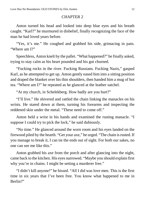## CHAPTER 2

Anton turned his head and looked into deep blue eyes and his breath caught. "Karl?" he murmured in disbelief, finally recognizing the face of the man he had loved years before.

"Yes, it's me." He coughed and grabbed his side, grimacing in pain. "Where am I?"

Speechless, Anton knelt by the pallet. "What happened?" he finally asked, trying to stay calm as his heart pounded and his gut churned.

"Fucking rocks in the river. Fucking Russians. Fucking Nazis," gasped Karl, as he attempted to get up. Anton gently eased him into a sitting position and draped the blanket over his thin shoulders, then handed him a mug of hot tea. "Where am I?" he repeated as he glanced at the leather satchel.

"At my church, in Schelekberg. How badly are you hurt?"

"I'll live." He shivered and rattled the chain linking the manacles on his wrists. He stared down at them, turning his forearms and inspecting the reddened skin under the metal. "These need to come off."

Anton held a wrist in his hands and examined the rusting manacle. "I suppose I could try to pick the lock," he said dubiously.

"No time." He glanced around the worn room and his eyes landed on the firewood piled by the hearth. "Get your axe," he urged. "The chain isrusted. If you manage to break it, I can tie the ends out of sight. For both our sakes, no one can see me like this."

Anton grabbed his axe from the porch and after glancing into the night, came back to the kitchen. His eyes narrowed. "Maybe you should explain first why you're in chains. I might be setting a murderer free."

"I didn't kill anyone!" he hissed. "All I did was love men. This is the first time in six years that I've been free. You know what happened to me in Berlin?"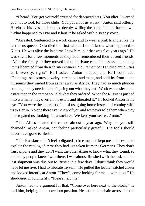"I heard. You got yourself arrested for depraved acts. You idiot. I warned you not to look for those clubs. You put all of us at risk," Anton said bitterly. He closed his eyes and breathed deeply, willing the harsh feelings back down. "What happened to Otto and Klaus?" he asked with a steady voice.

"Arrested. Sentenced to a work camp and to wear a pink triangle like the rest of us queers. Otto died the first winter. I don't know what happened to Klaus. He was alive the last time I saw him, but that was five years ago." He was silent for a few moments as they both remembered their absent friends. "After the first year they moved me to a private estate to assess and catalog items liberated from their former owners. You remember I studied antiquities at University, right?" Karl asked. Anton nodded, and Karl continued. "Paintings, sculptures, jewelry, rare books and maps, and oddities from all the museums they raided from as far away as Africa. They had so much plunder coming in they needed help figuring out what they had. Work was easier at the estate than in the camps so I did what they ordered. When the Russians pushed into Germany they overran the estate and liberated it." He looked Anton in the eye. "You were the smartest of all of us, going home instead of coming with usto Berlin. No one there ever knew of you and we never told them when they interrogated us, looking for associates. We kept your secret, Anton."

"The Allies cleared the camps almost a year ago. Why are you still chained?" asked Anton, not feeling particularly grateful. The fools should never have gone to Berlin.

"The Russians didn't feel obligated to free me, and kept me at the estate to explain the catalog of items they had just taken from the Germans. They don't trust anyone and they don't want the other Allies to know what they found, so not many people knew I was there. I was almost finished with the task and the last shipment was due out to Russia in a few days. I don't think they would have let me live. I had to liberate myself." He pulled the leather satchel closer and looked intently at Anton. "They'll come looking for me… with dogs." He shuddered involuntarily. "Please help me."

Anton had no argument for that. "Come over here next to the block," he told him, helping him move into position. He settled the chain across the old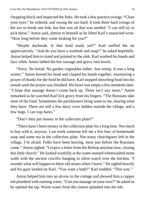chopping block and inspected the links. He took a few practice swings. "Close your eyes," he ordered, and swung the axe hard. It took three hard swings of the axe to break one link, but that was all that was needed. "I can still try to pick these," Anton said, almost to himself as he lifted Karl's manacled wrist. "How long before they come looking for you?"

"Maybe daybreak. Is that food ready yet?" Karl sniffed the air appreciatively. "And do you have a washtub and soap?" he asked hopefully. Anton helped him to stand and pointed to the sink. Karl washed his hands and face while Anton ladled the hot sausage and gravy into bowls.

"Sorry. No bread. No garden vegetables either. Just turnip. It was a long winter." Anton bowed his head and clasped his hands together, murmuring a prayer of thanks for the food he did have. Karl stopped shoveling food into his mouth until the prayer was finished. His bowl was empty a few moments later. "I hope that sausage doesn't come back up. There isn't any more," Anton remarked as he watched Karl lick gravy from his fingers. "The Russians take most of the food. Sometimes the parishioners bring some to me, sharing what they have. There are still a few dairy cows hidden outside the village, and a few hogs. I can trap hares."

"Don't they put money in the collection plate?"

"There hasn't been money in the collection plate for a long time. Not much to buy with it, anyway. Last week someone left me a few bars of homemade soap and some tea in the collection plate. Not many churchgoers left in the village, I'm afraid. Folks have been leaving, most just before the Russians came." Anton sighed. "I expect a letter from the Bishop anytime now, closing this little church." He looked wistfully at the water-stained whitewashed stone walls with the ancient crucifix hanging in silent watch over the kitchen. "I wonder what will happen to these old stones when I leave." He sighed heavily and his gaze landed on Karl. "You want a bath?" Karl nodded. "This way."

Anton helped him into an alcove in the cottage and showed him a copper tub plumbed with running water. "Can you manage on your own?" he asked as he opened the tap. Warm water from the cistern splashed into the tub.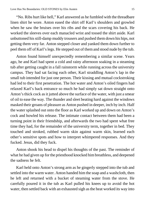"No. Ribs hurt like hell," Karl answered as he fumbled with the threadbare linen shirt he wore. Anton eased the shirt off Karl's shoulders and growled when he saw the bruises over his ribs and the scars covering his back. He worked the sleeves over each manacled wrist and tossed the shirt aside. Karl unbuttoned hisstill-damp muddy trousers and pushed them down his hips, not getting them very far. Anton stepped closer and yanked them down further to peel them off of Karl'slegs. He stepped out of themand stood nude by the tub.

Anton found himself unexpectedly remembering a similar scene. Years ago, he and Karl had spent a cold and rainy afternoon soaking in a steaming tub after getting caught in a fall rainstorm while running across the university campus. They had sat facing each other, Karl straddling Anton's lap in the small tub intended for just one person. Their kissing and mutual cockstroking had led to their first penetration. The hot water and Anton's oiled fingers had relaxed Karl's back entrance so much he had simply sat down straight onto Anton's thick cock as it jutted above the surface of the water, with just a smear of oil to ease the way. The thunder and sleet beating hard against the windows masked their groans of pleasure as Anton pushed in deeper, inch by inch. Half the water splashed out onto the floor as Karl worked up and down on Anton's cock and howled his release. The intimate contact between them had been a turning point in their friendship, and afterwards the two had spent what free time they had, for the remainder of the university term, together in bed. They touched and stroked, rubbed warm skin against warm skin, learned each other's sensitive spots and how to interpret whimpered responses. And they fucked. Jesus, did they fuck.

Anton shook his head to dispel his thoughts of the past. The reminder of what he had given up for the priesthood knocked himbreathless, and deepened the sadness he felt.

Karl held onto Anton's strong arm as he gingerly stepped into the tub and settled into the warm water. Anton handed him the soap and a washcloth, then he left and returned with a bucket of steaming water from the stove. He carefully poured it in the tub as Karl pulled his knees up to avoid the hot water, then settled back with an exhausted sigh as the heat worked its way into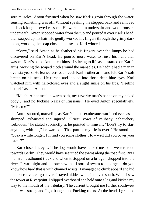sore muscles. Anton frowned when he saw Karl's groin through the water, sensing something was off. Without speaking, he stepped back and removed his black long-sleeved cassock. He wore a thin undershirt and wool trousers underneath. Anton scooped water from the tub and poured it over Karl's head, then soaped up his hair. He gently worked his fingers through the grimy dark locks, working the soap close to his scalp. Karl winced.

"Sorry," said Anton as he feathered his fingers over the lumps he had discovered on Karl's head. He poured more water to rinse his hair, then washed Karl's back. Anton felt himself stirring to life as he started on Karl's arms, working the soaped cloth around the manacles. He hadn't had a man in over six years. He leaned across to reach Karl's other arm, and felt Karl's soft breath on his neck. He turned and looked into those deep blue eyes. Karl watched him with half-closed eyes and a slight smile on his lips. "Feeling better?" asked Anton.

"Much. A hot meal, a warm bath, my favorite man's hands on my naked body… and no fucking Nazis or Russians." He eyed Anton speculatively. "Miss me?"

Anton snorted, marveling as Karl'sinnate exuberance surfaced even as he slumped, exhausted and injured. "Priest, vows of celibacy, debauchery forbidden," he stated succinctly as he pointed to himself. "Don't try to start anything with me," he warned. "That part of my life is over." He stood up. "Soak a while longer. I'll find you some clothes. How well did you cover your tracks?"

Karl closed his eyes. "The dogs would have tracked me to the western road towards Berlin. They would have searched the towns along the road first. But I hid in an eastbound truck and when it stopped on a bridge I dropped into the river. It was night and no one saw me. I sort of swam to a barge… do you know how hard that is with chained wrists? I managed to climb aboard and hid under a canvas cargo cover. Istayed hidden while it moved south. When Isaw the tower at Riverpoint, Islipped overboard and held onto a log and kicked my way to the mouth of the tributary. The current brought me further southwest but it was strong and I got banged up. Fucking rocks. At the bend, I grabbed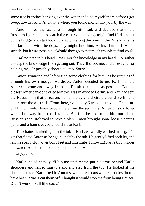some tree branches hanging over the water and tied myself there before I got swept downstream. And that's where you found me. Thank you, by the way."

Anton rolled the scenarios through his head, and decided that if the Russians figured out to search the east road, the dogs might find Karl's scent on the bridge, and start looking at towns along the river. If the Russians came this far south with the dogs, they might find him. At his church. It was a stretch, but it was possible. "Would they go to that much trouble to find you?"

Karl pointed to his head. "Yes. For the knowledge in my head… or rather to keep the knowledge from getting out. They'll shoot me, and arrest you for helping me. Or possibly shoot you, too. Sorry."

Anton grimaced and left to find some clothing for him. As he rummaged through his own meager wardrobe, Anton decided to get Karl into the American zone and away from the Russians as soon as possible. But the closest American-controlled territory was in divided Berlin, and Karl had sent the Russians in that direction. Perhaps they could circle around Berlin and enter from the west side. From there, eventually Karl could travel to Frankfurt or Munich. Anton knew people there from the seminary. At least his old lover would be away from the Russians. But first he had to get him out of the Russian zone. Relieved to have a plan, Anton brought some loose sleeping pants and a long sleeved undershirt to Karl.

The chains clanked against the tub as Karl awkwardly washed hisleg. "I'll get that," said Anton as he again knelt by the tub. He gently lifted each leg and ran the soapy cloth over bony feet and thin limbs, following Karl'sthigh under the water. Anton stopped in confusion. Karl watched him.

"What ?"

Karl exhaled heavily. "Help me up." Anton put his arms behind Karl's shoulders and helped him to stand and step from the tub. He looked at the flaccid penis as Karl lifted it. Anton saw thin red scars where testicles should have been. "Nazis cut them off. Thought it would stop me from being a queer. Didn't work. I still like cock."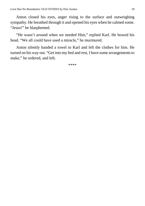Anton closed his eyes, anger rising to the surface and outweighing sympathy. He breathed through it and opened his eyes when he calmed some. "Jesus!" he blasphemed.

"He wasn't around when we needed Him," replied Karl. He bowed his head. "We all could have used a miracle," he murmured.

<span id="page-17-0"></span>Anton silently handed a towel to Karl and left the clothes for him. He turned on his way out. "Get into my bed and rest, I have some arrangements to make," he ordered, and left.

\*\*\*\*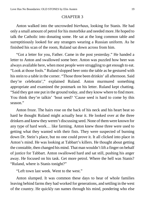### CHAPTER 3

Anton walked into the uncrowded *bierhaus*, looking for Stanis. He had only a small amount of petrol for his motorbike and needed more. He hoped to talk the Catholic into donating some. He sat at the long common table and surreptitiously looked for any strangers wearing a Russian uniform. As he finished his scan of the room, Ruland sat down across from him.

"Got a letter for you, Father. Came in the post yesterday." He handed a letter to Anton and swallowed some beer. Anton was puzzled how beer was always available here, when most people were struggling to get enough to eat. "Look at those fools." Ruland slopped beer onto the table as he gestured with hisstein to a table in the corner. "Those three been drinkin' all afternoon. Said they're celebratin'," explained Ruland. Anton murmured something appropriate and examined the postmark on his letter. Ruland kept chatting. "Said they got one put in the ground today, and they know where to find more. You think they're talkin' 'bout seed? 'Cause seed is hard to come by this season."

Anton froze. The hairs rose on the back of his neck and his heart beat so hard he thought Ruland might actually hear it. He looked over at the three drinkers and knew they weren't discussing seed. None of themwere known for any type of hard work… like farming. Anton knew those three were used to getting what they wanted with their fists. They were suspected of burning down Dr. Stein's place, but no one could prove it. It all clicked into place in Anton's mind. He was looking at Tabbart's killers. He thought about getting the constable, then changed his mind. That man wouldn't lift a finger on behalf of justice for Tabbart. Anton swallowed hard and sat still, pushing his anger away. He focused on his task. Get more petrol. Where the hell was Stanis? "Ruland, where is Stanis tonight?"

"Left town last week. Went to the west."

Anton slumped. It was common these days to hear of whole families leaving behind farms they had worked for generations, and settling in the west of the country. He quickly ran names through his mind, pondering who else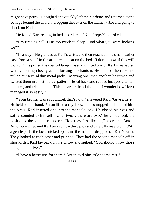might have petrol. He sighed and quickly left the *bierhaus* and returned to the cottage behind the church, dropping the letter on the kitchen table and going to check on Karl.

He found Karl resting in bed as ordered. "Not sleepy?" he asked.

"I'm tired as hell. Hurt too much to sleep. Find what you were looking for?"

"In a way." He glanced at Karl's wrist, and then reached for a small leather case from a shelf in the armoire and sat on the bed. "I don't know if this will work…" He pulled the coal oil lamp closer and lifted one of Karl's manacled wrists, peering closely at the locking mechanism. He opened the case and pulled out several thin metal picks. Inserting one, then another, he turned and twisted them in a methodical pattern. He sat back and rubbed his eyes after ten minutes, and tried again. "This is harder than I thought. I wonder how Horst managed it so easily."

"Your brother was a scoundrel, that's how," answered Karl. "Give it here." He held out his hand. Anton lifted an eyebrow, then shrugged and handed him the picks. Karl inserted one into the manacle lock. He closed his eyes and softly counted to himself, "One, two… there are two," he announced. He positioned the pick, then another. "Hold these just like this," he ordered Anton. Anton complied and Karl picked up a third pick and carefully inserted it. With a gentle push, the lock snicked open and the manacle dropped off Karl's wrist. They looked at each other and grinned. They had the second manacle off in short order. Karl lay back on the pillow and sighed. "You should throw those things in the river."

<span id="page-19-0"></span>"I have a better use for them," Anton told him. "Get some rest."

\*\*\*\*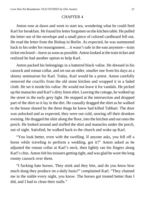### CHAPTER 4

Anton rose at dawn and went to start tea, wondering what he could feed Karl for breakfast. He found his letter forgotten on the kitchen table. He pulled the letter out of the envelope and a small piece of colored cardboard fell out. He read the letter from the Bishop in Berlin. As expected, he was summoned back to his order for reassignment… it wasn't safe in the east anymore—train ticket enclosed—leave as soon as possible. Anton looked at the train ticket and realized he had another option to help Karl.

Anton packed his belongings in a battered black valise. He dressed in his cassock and roman collar, and set out an older, smaller one from his days as a skinny seminarian for Karl. Today, Karl would be a priest. Anton carefully removed the crucifix from the old stone kitchen and wrapped it in a faded cloth. He set it inside his valise. He would not leave it for vandals. He picked up the manacles and Karl's dirty linen shirt. Leaving the cottage, he walked up the street in the early grey light. He stopped at the intersection and dropped part of the shirt so it lay in the dirt. He casually dragged the shirt as he walked to the house shared by the three thugs he knew had killed Tabbart. The door was unlocked and as expected, they were out cold, snoring off their drunken evening. He dragged the shirt along the floor, into the kitchen and out onto the porch. He looked around and stuffed the shirt and manacles under the porch, out of sight. Satisfied, he walked back to the church and woke up Karl.

"You look better, even with the swelling. If anyone asks, you fell off a horse while traveling to perform a wedding, got it?" Anton asked as he adjusted the roman collar at Karl's neck, then lightly ran his fingers along Karl's chin. Anton felt histrousers getting tight, and was glad he wore the long roomy cassock over them.

"I fucking hate horses. They stink and they bite, and do you *know* how much dung they produce on a daily basis?" complained Karl. "They chained me in the stable every night, you know. The horses got treated better than I did, and I had to clean their stalls."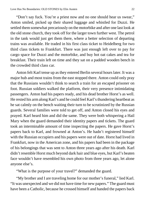"Don't say fuck. You're a priest now and no one should hear us swear," Anton smiled, picked up their shared luggage and whistled for Duzzi. He settled them somewhat precariously on the motorbike and after one last look at the old stone church, they took off for the larger town further west. The petrol in the tank would just get them there, where a better selection of departing trains was available. He traded in his first class ticket to Heidelberg for two third class tickets to Frankfurt. There was just enough left over to pay for cargo space for Duzzi and the motorbike, and buy hot oat cakes and tea for breakfast. Their train left on time and they sat on a padded wooden bench in the crowded third class car.

Anton felt Karl tense up as they entered Berlin several hours later. It was a major hub and most trains from the east stopped there. Anton could only pray that the Russians wouldn't think to search a train for an escaped prisoner on foot. Russian soldiers walked the platform, their very presence intimidating passengers. Anton had his papers ready, and his dead brother Horst's as well. He rested his armalong Karl's and he could feel Karl'sthundering heartbeat as he sat calmly on the bench waiting their turn to be scrutinized by the Russian guards. Several families were told to get off, and Anton closed his eyes and prayed. Karl heard him and did the same. They were both whispering a Hail Mary when the guard demanded their identity papers and tickets. The guard took an interminable amount of time inspecting the papers. He gave Horst's papers back to Karl, and frowned at Anton's. He hadn't registered himself with the Russian occupiers and his papers were out of date. Horst had lived in Frankfurt, now in the American zone, and his papers had been in the package of his belongings that was sent to Anton three years ago after his death. Karl didn't resemble Horst much beyond dark hair and blue eyes, but Karl's beaten face wouldn't have resembled his own photo from three years ago, let alone anyone else's.

"What is the purpose of your travel?" demanded the guard.

"My brother and I are traveling home for our mother's funeral," lied Karl. "It was unexpected and we did not have time for new papers." The guard must have been a Catholic, because he crossed himself and handed the papers back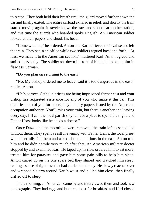to Anton. They both held their breath until the guard moved further down the car and finally exited. The entire carload exhaled in relief, and shortly the train started moving again. It traveled down the track and stopped at another station, and this time the guards who boarded spoke English. An American soldier looked at their papers and shook his head.

"Come with me," he ordered. Anton and Karl retrieved their valise and left the train. They sat in an office while two soldiers argued back and forth. "At least we made it to the American section," muttered Karl. Anton agreed and smiled nervously. The soldier sat down in front of him and spoke to him in flawless German.

"Do you plan on returning to the east?"

"No. My bishop ordered me to leave, said it's too dangerous in the east," replied Anton.

"He's correct. Catholic priests are being imprisoned farther east and your bishop has requested assistance for any of you who make it this far. This qualifies both of you for emergency identity papers issued by the American occupation authority. You'll miss your train, but there's another one leaving every day. I'll call the local parish so you have a place to spend the night, and Father Horst looks like he needs a doctor."

Once Duzzi and the motorbike were removed, the train left as scheduled without them. They spent a restful evening with Father Henri, the local priest who cheerfully fed them and asked about conditions in the east. Anton told him and he didn't smile very much after that. An American military doctor stopped by and examined Karl. He taped up his ribs, ordered him to eat more, treated him for parasites and gave him some pain pills to help him sleep. Anton curled up on the one spare bed they shared and watched him sleep, feeling a sense of rightness that had eluded him lately. He slowly reached over and wrapped his arm around Karl's waist and pulled him close, then finally drifted off to sleep.

In the morning, an American came by and interviewed them and took new photographs. They had eggs and buttered toast for breakfast and Karl closed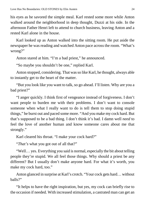his eyes as he savored the simple meal. Karl rested some more while Anton walked around the neighborhood in deep thought, Duzzi at his side. In the afternoon Father Henri left to attend to church business, leaving Anton and a rested Karl alone in the house.

Karl looked up as Anton walked into the sitting room. He put aside the newspaper he was reading and watched Anton pace across the room. "What's wrong?"

Anton stared at him. "I'm a bad priest," he announced.

"So maybe you shouldn't be one," replied Karl.

Anton stopped, considering. That was so like Karl, he thought, always able to instantly get to the heart of the matter.

"But you look like you want to talk, so go ahead. I'll listen. Why are you a bad priest?"

"I anger quickly. I think first of vengeance instead of forgiveness. I don't want people to burden me with their problems. I don't want to console someone when what I really want to do is tell them to stop doing stupid things," he burst out and paced some more. "And you make my cock hard. But that's supposed to be a bad thing. I don't think it's bad. I damn well *need* to feel the love of another human and know someone cares about me that strongly."

Karl cleared his throat. "I make your cock hard?"

"*That's* what you got out of all that?"

"Well… yes. Everything you said is normal, especially the bit about telling people they're stupid. We all feel those things. Why should a priest be any different? But I usually don't make anyone hard. For what it's worth, you make my cock hard, too."

Anton glanced in surprise at Karl's crotch. "Your cock gets hard… without balls?"

"It helps to have the right inspiration, but yes, my cock can briefly rise to the occasion if needed. With increased stimulation, a castrated man can get an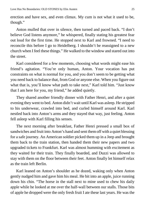erection and have sex, and even climax. My cum is not what it used to be, though."

Anton mulled that over in silence, then turned and paced back. "I don't believe God listens anymore," he whispered, finally stating his greatest fear out loud for the first time. He stopped next to Karl and frowned. "I need to reconcile this before I go to Heidelberg. I shouldn't be reassigned to a new church when I feel these things." He walked to the window and stared out into the street.

Karl considered for a few moments, choosing what words might ease his friend's agitation. "You're only human, Anton. Your vocation has put constraints on what is normal for you, and you don't seem to be getting what you need back to balance that, from God or anyone else. When you figure out what that is, you'll know what path to take next," Karl told him. "Just know that I am here for you, my friend," he added quietly.

They shared another friendly dinner with Father Henri, and after a quiet evening they went to bed. Anton didn't wait until Karl was asleep. He stripped to his underwear, crawled into bed, and curled himself around Karl. Karl nestled back into Anton's arms and they stayed that way, just feeling. Anton fell asleep with Karl filling his senses.

The next morning after breakfast, Father Henri pressed a small box of sandwiches and fruit into Anton's hand and sent themoff with a quiet blessing for a safe journey. An American soldier picked them up in a Jeep and brought them back to the train station, then handed them their new papers and two upgraded tickets to Frankfurt. Karl was almost humming with excitement as they waited for their train. They finally boarded, and Duzzi was allowed to stay with them on the floor between their feet. Anton finally let himself relax as the train left Berlin.

Karl leaned on Anton's shoulder as he dozed, waking only when Anton gently nudged him and gave him his meal. He bit into an apple, juice running down his chin. "The horse in the stall next to mine used to chew his daily apple while he looked at me over the half-wall between our stalls. Those bits of apple he dropped were the only fresh fruit I ate these last years. He was the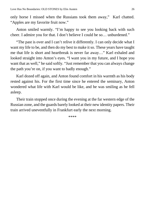only horse I missed when the Russians took them away," Karl chatted. "Apples are my favorite fruit now."

Anton smiled warmly. "I'm happy to see you looking back with such cheer. I admire you for that. I don't believe I could be so… unburdened."

"The past is over and I can't relive it differently. I can only decide what I want my life to be, and then do my best to make it so. These years have taught me that life is short and heartbreak is never far away…" Karl exhaled and looked straight into Anton's eyes. "I want you in my future, and I hope you want that as well," he said softly. "Just remember that you can always change the path you're on, if you want to badly enough."

Karl dozed off again, and Anton found comfort in his warmth as his body rested against his. For the first time since he entered the seminary, Anton wondered what life with Karl would be like, and he was smiling as he fell asleep.

<span id="page-25-0"></span>Their train stopped once during the evening at the far western edge of the Russian zone, and the guards barely looked at their new identity papers. Their train arrived uneventfully in Frankfurt early the next morning.

\*\*\*\*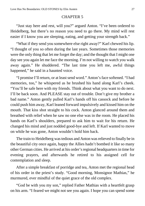## CHAPTER 5

"Just stay here and rest, will you?" argued Anton. "I've been ordered to Heidelberg, but there's no reason you need to go there. My mind will rest easier if I know you are sleeping, eating, and getting your strength back."

"What if they send you somewhere else right away?" Karl chewed his lip. "I thought of you so often during the last years. Sometimes those memories were the only thing that let me forget the day; and the thought that I might one day see you again let me face the morning. I'm not willing to watch you walk away again." He shuddered. "The last time you left me, awful things happened," he said in a haunted voice.

"I promise I'll return, or at least send word." Anton's face softened. "I had memories, too," he whispered as he brushed his hand along Karl's cheek. "You'll be safe here with my friends. Think about what you want to do next. I'll be back soon. And PLEASE stay out of trouble. Don't give my brother a bad name." Anton gently pulled Karl's hands off his cassock and before he could push him away, Karl leaned forward impulsively and kissed him on the mouth. That kiss shot straight to his cock. Anton glanced around them and breathed with relief when he saw no one else was in the room. He placed his hands on Karl's shoulders, prepared to ask him to wait for his return. He changed his mind and just nodded good-bye and left. If Karl wanted to move on while he was gone, Anton wouldn't hold him back.

The train to Heidelberg was tedious and Anton was relieved to finally be in the beautiful city once again, happy the Allies hadn't bombed it like so many other German cities. He arrived at his order'sregional headquartersin time for evening prayers, and afterwards he retired to his assigned cell for contemplation and sleep.

After a simple breakfast of porridge and tea, Anton met the regional head of his order in the priest's study. "Good morning, Monsignor Mathias," he murmured, ever mindful of the quiet grace of the old complex.

"God be with you my son," replied Father Mathias with a heartfelt grasp on his arm. "I feared we might not see you again. I hope you can spend some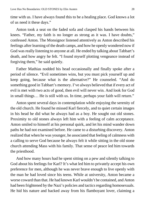time with us. I have always found this to be a healing place. God knows a lot of us need it these days."

Anton took a seat on the faded sofa and clasped his hands between his knees. "Father, my faith is no longer as strong as it was. I have doubts," confessed Anton. The Monsignor listened attentively as Anton described his feelings after learning of the death camps, and how he openly wondered now if God was really listening to anyone at all. He ended by talking about Tabbart's death, and how angry he felt. "I found myself plotting vengeance instead of forgiving them," he said quietly.

Father Mathias nodded his head occasionally and finally spoke after a period of silence. "Evil sometimes wins, but you must pick yourself up and keep going, because what is the alternative?" He counseled. "And do something good in Tabbart's memory. I've always believed that if every act of evil is met with two acts of good, then evil will never win. And look for God in small things… He is still with us. In time, perhaps your faith will return."

Anton spent several days in contemplation while enjoying the serenity of the old church. He found he missed Karl fiercely, and to quiet certain images in his head he did what he always had as a boy. He sought out old stones. Proximity to old stones always left him with a feeling of calm acceptance. Anton smiled to himself at his personal quirk, and let his mind wander down paths he had not examined before. He came to a disturbing discovery. Anton realized that when he was younger, he associated that feeling of calmness with a calling to serve God because he always felt it while sitting in the old stone church attending Mass with his family. That sense of peace led him towards the priesthood.

And how many hours had he spent sitting on a pew and silently talking to God about his feelings for Karl? It's what led him to privately accept his own preference for men, although he was never brave enough to live openly with the man he had loved since his teens. While at university, Anton became a worse coward than that. He had known Karl wouldn't be contained, and Anton had been frightened by the Nazi's policies and tactics regarding homosexuals. He hid his nature and backed away from his flamboyant lover, claiming a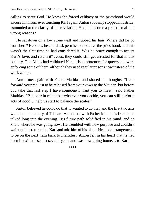calling to serve God. He knew the forced celibacy of the priesthood would excuse him from ever touching Karl again. Anton suddenly stopped midstride, astounded at the clarity of his revelation. Had he become a priest for all the wrong reasons?

He sat down on a low stone wall and rubbed his hair. Where did he go from here? He knew he could ask permission to leave the priesthood, and this wasn't the first time he had considered it. Was he brave enough to accept Karl's love, and return it? Jesus, they could still get arrested for that in this country. The Allies had validated Nazi prison sentences for queers and were enforcing some of them, although they used regular prisons now instead of the work camps.

Anton met again with Father Mathias, and shared his thoughts. "I can forward your request to be released from your vowsto the Vatican, but before you take that last step I have someone I want you to meet," said Father Mathias. "But bear in mind that whatever you decide, you can still perform acts of good… help us start to balance the scales."

<span id="page-28-0"></span>Anton believed he could do that… wanted to do that, and the first two acts would be in memory of Tabbart. Anton met with Father Mathias's friend and talked long into the evening. His future path solidified in his mind, and he knew where he was going now. He trembled with new purpose and couldn't wait until he returned to Karl and told him of his plans. He made arrangements to be on the next train back to Frankfurt. Anton felt in his heart that he had been in exile these last several years and was now going home… to Karl.

\*\*\*\*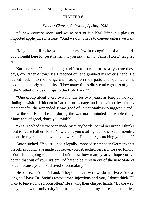#### CHAPTER 6

### *Kibbutz Chaver, Palestine, Spring, 1948*

"A new country soon, and we're part of it." Karl lifted his glass of imported apple juice in a toast. "And we don't have to convert unless we want to."

"Maybe they'll make you an honorary Jew in recognition of all the kids you brought here for resettlement, if you ask them to, Father Horst," laughed Anton.

Karl snorted. "No such thing, and I'm as much a priest as you are these days, *ex*-Father Anton." Karl reached out and grabbed his lover's hand. He leaned back onto the lounge chair set up on their patio and squinted as he looked at the bright blue sky. "How many times did we take groups of good little 'Catholic' kids on trips to the Holy Land?"

"One group about every two months for two years, as long as we kept finding Jewish kids hidden in Catholic orphanages and not claimed by a family member after the war ended. It was good of Father Mathias to suggest it, and I know the old Rabbi he hid during the war masterminded the whole thing. Many acts of good, don't you think?"

"Yes. Too bad we've been made by every border patrol in Europe. I think I need to retire Father Horst. Now aren't you glad I got another set of identity papers in my real name while you were in Heidelberg searching your soul?"

Anton sighed. "You still had a legally-imposed sentence in Germany that the Allies could have made you serve, you debauched pervert," he said fondly. "You risked going to jail for I don't know how many years. I hope you've gotten that out of your system. I'd hate to be thrown out of the new State of Israel because you misbehaved spectacularly."

He squeezed Anton's hand. "They don't care what we do in private. And as long as I have Dr. Stein's testosterone injections and you, I don't think I'll want to leave our bedroomoften." He swung their clasped hands. "By the way, did you know the university in Jerusalem will honor my degree in antiquities,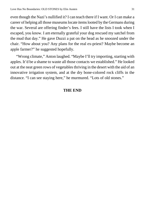even though the Nazi's nullified it? I can teach there if I want. Or I can make a career of helping all those museumslocate itemslooted by the Germans during the war. Several are offering finder's fees. I still have the lists I took when I escaped, you know. I am eternally grateful your dog rescued my satchel from the mud that day." He gave Duzzi a pat on the head as he snoozed under the chair. "How about you? Any plans for the real ex-priest? Maybe become an apple farmer?" he suggested hopefully.

"Wrong climate," Anton laughed. "Maybe I'll try importing, starting with apples. It'd be a shame to waste all those contacts we established." He looked out at the neat green rows of vegetables thriving in the desert with the aid of an innovative irrigation system, and at the dry bone-colored rock cliffs in the distance. "I can see staying here," he murmured. "Lots of old stones."

## **THE END**